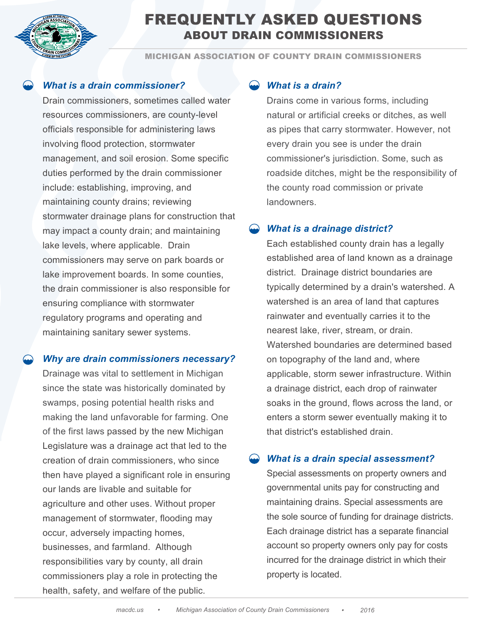

# FREQUENTLY ASKED QUESTIONS ABOUT DRAIN COMMISSIONERS

MICHIGAN ASSOCIATION OF COUNTY DRAIN COMMISSIONERS

### *What is a drain commissioner?*

Drain commissioners, sometimes called water resources commissioners, are county-level officials responsible for administering laws involving flood protection, stormwater management, and soil erosion. Some specific duties performed by the drain commissioner include: establishing, improving, and maintaining county drains; reviewing stormwater drainage plans for construction that may impact a county drain; and maintaining lake levels, where applicable. Drain commissioners may serve on park boards or lake improvement boards. In some counties, the drain commissioner is also responsible for ensuring compliance with stormwater regulatory programs and operating and maintaining sanitary sewer systems.

#### *Why are drain commissioners necessary?*

Drainage was vital to settlement in Michigan since the state was historically dominated by swamps, posing potential health risks and making the land unfavorable for farming. One of the first laws passed by the new Michigan Legislature was a drainage act that led to the creation of drain commissioners, who since then have played a significant role in ensuring our lands are livable and suitable for agriculture and other uses. Without proper management of stormwater, flooding may occur, adversely impacting homes, businesses, and farmland. Although responsibilities vary by county, all drain commissioners play a role in protecting the health, safety, and welfare of the public.

### *What is a drain?*

Drains come in various forms, including natural or artificial creeks or ditches, as well as pipes that carry stormwater. However, not every drain you see is under the drain commissioner's jurisdiction. Some, such as roadside ditches, might be the responsibility of the county road commission or private **landowners** 

### *What is a drainage district?*

Each established county drain has a legally established area of land known as a drainage district. Drainage district boundaries are typically determined by a drain's watershed. A watershed is an area of land that captures rainwater and eventually carries it to the nearest lake, river, stream, or drain. Watershed boundaries are determined based on topography of the land and, where applicable, storm sewer infrastructure. Within a drainage district, each drop of rainwater soaks in the ground, flows across the land, or enters a storm sewer eventually making it to that district's established drain.

### *What is a drain special assessment?*

Special assessments on property owners and governmental units pay for constructing and maintaining drains. Special assessments are the sole source of funding for drainage districts. Each drainage district has a separate financial account so property owners only pay for costs incurred for the drainage district in which their property is located.